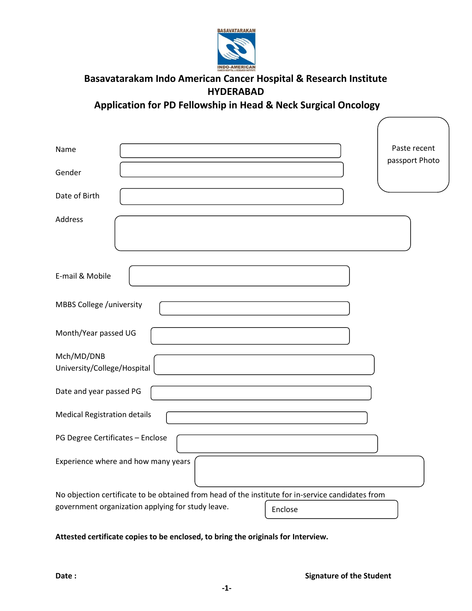

## **Basavatarakam Indo American Cancer Hospital & Research Institute HYDERABAD**

**Application for PD Fellowship in Head & Neck Surgical Oncology** 

| Name<br>Gender                                                                                                                                                    | Paste recent<br>passport Photo |
|-------------------------------------------------------------------------------------------------------------------------------------------------------------------|--------------------------------|
| Date of Birth                                                                                                                                                     |                                |
| Address                                                                                                                                                           |                                |
| E-mail & Mobile                                                                                                                                                   |                                |
| MBBS College /university                                                                                                                                          |                                |
| Month/Year passed UG                                                                                                                                              |                                |
| Mch/MD/DNB<br>University/College/Hospital                                                                                                                         |                                |
| Date and year passed PG                                                                                                                                           |                                |
| <b>Medical Registration details</b>                                                                                                                               |                                |
| PG Degree Certificates - Enclose                                                                                                                                  |                                |
| Experience where and how many years                                                                                                                               |                                |
| No objection certificate to be obtained from head of the institute for in-service candidates from<br>government organization applying for study leave.<br>Enclose |                                |

**Attested certificate copies to be enclosed, to bring the originals for Interview.**